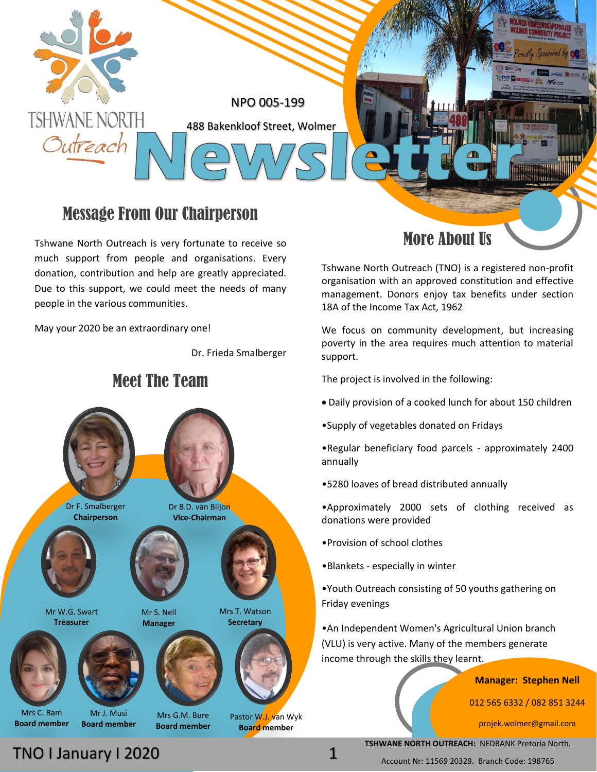

### Message From Our Chairperson

Tshwane North Outreach is very fortunate to receive so much support from people and organisations. Every donation, contribution and help are greatly appreciated. Due to this support, we could meet the needs of many people in the various communities.

May your 2020 be an extraordinary one!

Dr. Frieda Smalberger



### More About Us

Tshwane North Outreach (TNO) is a registered non-profit organisation with an approved constitution and effective management. Donors enjoy tax benefits under section 18A of the Income Tax Act, 1962

We focus on community development, but increasing poverty in the area requires much attention to material support.

The project is involved in the following:

- Daily provision of a cooked lunch for about 150 children
- •Supply of vegetables donated on Fridays

•Regular beneficiary food parcels - approximately 2400 annually

•5280 loaves of bread distributed annually

•Approximately 2000 sets of clothing received as donations were provided

- •Provision of school clothes
- •Blankets especially in winter

•Youth Outreach consisting of 50 youths gathering on Friday evenings

•An Independent Women's Agricultural Union branch (VLU) is very active. Many of the members generate income through the skills they learnt.

**Manager: Stephen Nell**

012 565 6332 / 082 851 3244

projek.wolmer@gmail.com

**TSHWANE NORTH OUTREACH:** NEDBANK Pretoria North.

Account Nr: 11569 20329. Branch Code: 198765